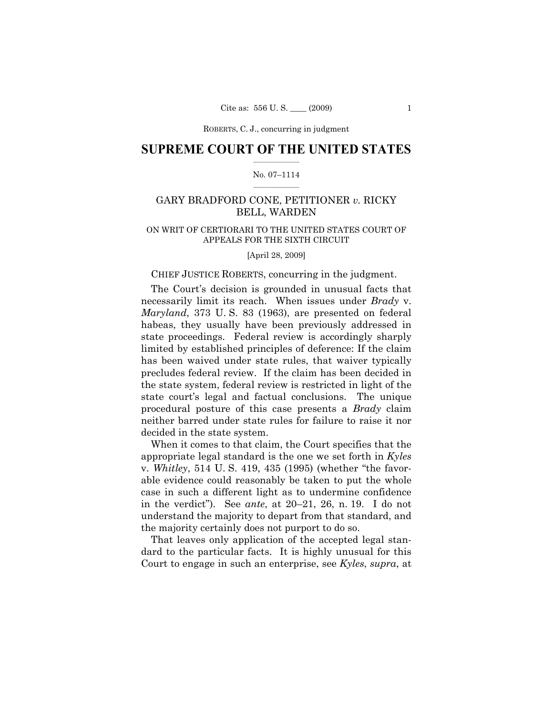ROBERTS, C. J., concurring in judgment

## **SUPREME COURT OF THE UNITED STATES**  $\frac{1}{2}$  ,  $\frac{1}{2}$  ,  $\frac{1}{2}$  ,  $\frac{1}{2}$  ,  $\frac{1}{2}$  ,  $\frac{1}{2}$  ,  $\frac{1}{2}$

### No. 07–1114  $\frac{1}{2}$  ,  $\frac{1}{2}$  ,  $\frac{1}{2}$  ,  $\frac{1}{2}$  ,  $\frac{1}{2}$  ,  $\frac{1}{2}$

# GARY BRADFORD CONE, PETITIONER *v.* RICKY BELL, WARDEN

## ON WRIT OF CERTIORARI TO THE UNITED STATES COURT OF APPEALS FOR THE SIXTH CIRCUIT

[April 28, 2009]

### CHIEF JUSTICE ROBERTS, concurring in the judgment.

 The Court's decision is grounded in unusual facts that necessarily limit its reach. When issues under *Brady* v. *Maryland*, 373 U. S. 83 (1963), are presented on federal habeas, they usually have been previously addressed in state proceedings. Federal review is accordingly sharply limited by established principles of deference: If the claim has been waived under state rules, that waiver typically precludes federal review. If the claim has been decided in the state system, federal review is restricted in light of the state court's legal and factual conclusions. The unique procedural posture of this case presents a *Brady* claim neither barred under state rules for failure to raise it nor decided in the state system.

 When it comes to that claim, the Court specifies that the appropriate legal standard is the one we set forth in *Kyles* v. *Whitley*, 514 U. S. 419, 435 (1995) (whether "the favorable evidence could reasonably be taken to put the whole case in such a different light as to undermine confidence in the verdict"). See *ante*, at 20–21, 26, n. 19. I do not understand the majority to depart from that standard, and the majority certainly does not purport to do so.

 That leaves only application of the accepted legal standard to the particular facts. It is highly unusual for this Court to engage in such an enterprise, see *Kyles*, *supra*, at